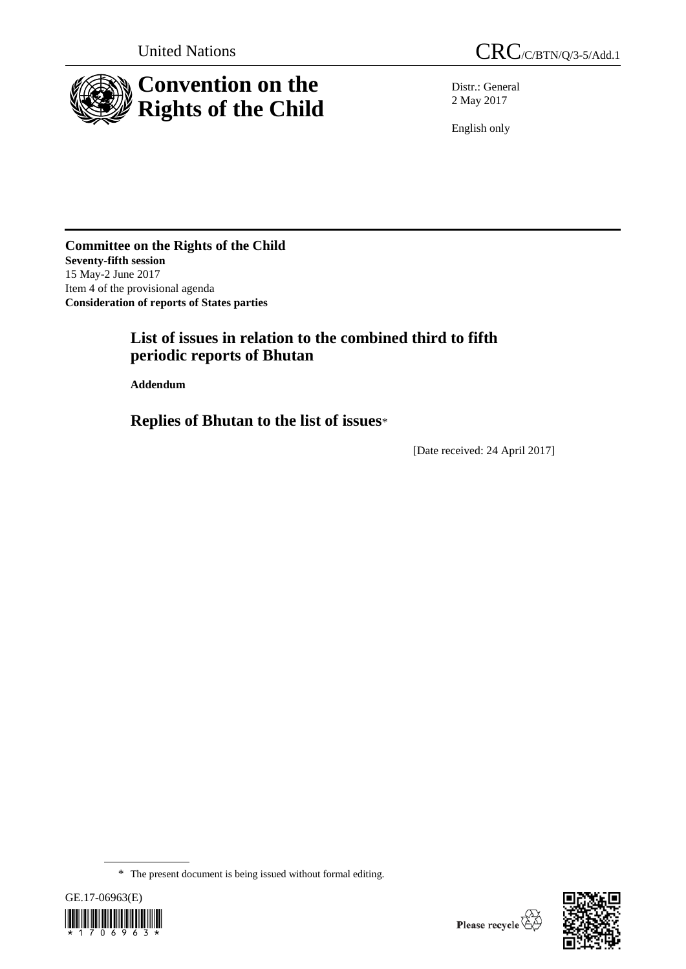

Distr.: General 2 May 2017

English only

**Committee on the Rights of the Child Seventy-fifth session** 15 May-2 June 2017 Item 4 of the provisional agenda **Consideration of reports of States parties**

## **List of issues in relation to the combined third to fifth periodic reports of Bhutan**

**Addendum**

**Replies of Bhutan to the list of issues**\*

[Date received: 24 April 2017]

<sup>\*</sup> The present document is being issued without formal editing.



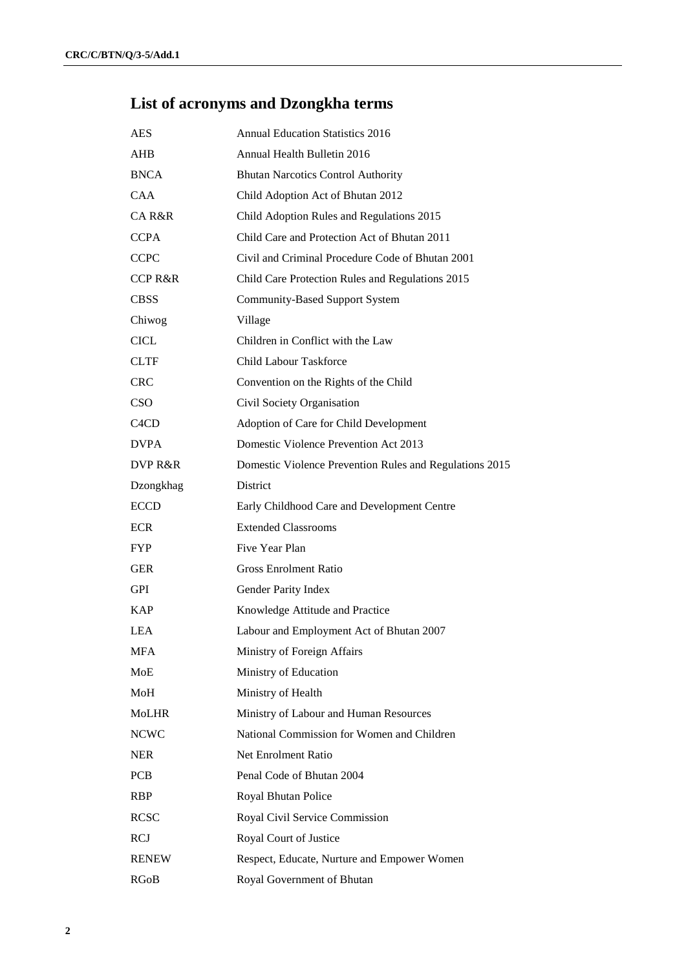# **List of acronyms and Dzongkha terms**

| <b>AES</b>                    | <b>Annual Education Statistics 2016</b>                 |
|-------------------------------|---------------------------------------------------------|
| AHB                           | Annual Health Bulletin 2016                             |
| <b>BNCA</b>                   | <b>Bhutan Narcotics Control Authority</b>               |
| <b>CAA</b>                    | Child Adoption Act of Bhutan 2012                       |
| CA R&R                        | Child Adoption Rules and Regulations 2015               |
| <b>CCPA</b>                   | Child Care and Protection Act of Bhutan 2011            |
| <b>CCPC</b>                   | Civil and Criminal Procedure Code of Bhutan 2001        |
| <b>CCP R&amp;R</b>            | Child Care Protection Rules and Regulations 2015        |
| <b>CBSS</b>                   | <b>Community-Based Support System</b>                   |
| Chiwog                        | Village                                                 |
| <b>CICL</b>                   | Children in Conflict with the Law                       |
| <b>CLTF</b>                   | <b>Child Labour Taskforce</b>                           |
| <b>CRC</b>                    | Convention on the Rights of the Child                   |
| CSO                           | Civil Society Organisation                              |
| C <sub>4</sub> C <sub>D</sub> | Adoption of Care for Child Development                  |
| <b>DVPA</b>                   | Domestic Violence Prevention Act 2013                   |
| DVP R&R                       | Domestic Violence Prevention Rules and Regulations 2015 |
| Dzongkhag                     | District                                                |
| <b>ECCD</b>                   | Early Childhood Care and Development Centre             |
| <b>ECR</b>                    | <b>Extended Classrooms</b>                              |
| FYP.                          | Five Year Plan                                          |
| <b>GER</b>                    | <b>Gross Enrolment Ratio</b>                            |
| <b>GPI</b>                    | Gender Parity Index                                     |
| <b>KAP</b>                    | Knowledge Attitude and Practice                         |
| <b>LEA</b>                    | Labour and Employment Act of Bhutan 2007                |
| <b>MFA</b>                    | Ministry of Foreign Affairs                             |
| MoE                           | Ministry of Education                                   |
| MoH                           | Ministry of Health                                      |
| <b>MoLHR</b>                  | Ministry of Labour and Human Resources                  |
| <b>NCWC</b>                   | National Commission for Women and Children              |
| <b>NER</b>                    | Net Enrolment Ratio                                     |
| <b>PCB</b>                    | Penal Code of Bhutan 2004                               |
| <b>RBP</b>                    | Royal Bhutan Police                                     |
| <b>RCSC</b>                   | Royal Civil Service Commission                          |
| <b>RCJ</b>                    | Royal Court of Justice                                  |
| <b>RENEW</b>                  | Respect, Educate, Nurture and Empower Women             |
| RGoB                          | Royal Government of Bhutan                              |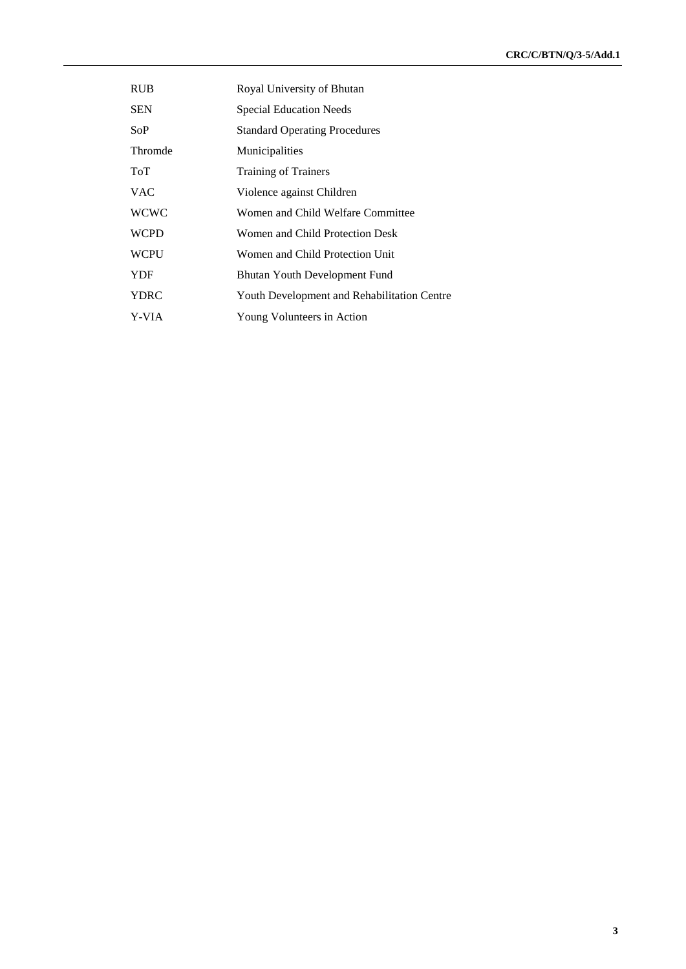| <b>RUB</b>  | Royal University of Bhutan                  |
|-------------|---------------------------------------------|
| <b>SEN</b>  | <b>Special Education Needs</b>              |
| SoP         | <b>Standard Operating Procedures</b>        |
| Thromde     | Municipalities                              |
| ToT         | <b>Training of Trainers</b>                 |
| <b>VAC</b>  | Violence against Children                   |
| <b>WCWC</b> | Women and Child Welfare Committee           |
| <b>WCPD</b> | Women and Child Protection Desk             |
| <b>WCPU</b> | Women and Child Protection Unit             |
| <b>YDF</b>  | <b>Bhutan Youth Development Fund</b>        |
| YDRC        | Youth Development and Rehabilitation Centre |
| Y-VIA       | Young Volunteers in Action                  |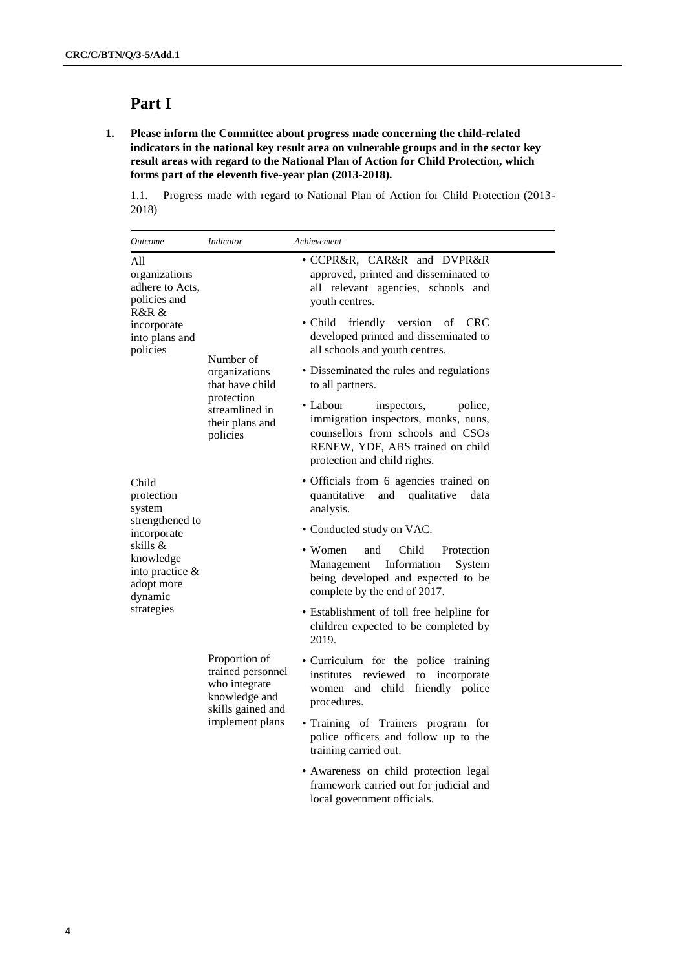## **Part I**

**1. Please inform the Committee about progress made concerning the child-related indicators in the national key result area on vulnerable groups and in the sector key result areas with regard to the National Plan of Action for Child Protection, which forms part of the eleventh five-year plan (2013-2018).** 

1.1. Progress made with regard to National Plan of Action for Child Protection (2013- 2018)

| Outcome                                                                         | <b>Indicator</b>                                                                                             | Achievement                                                                                                                                                                         |
|---------------------------------------------------------------------------------|--------------------------------------------------------------------------------------------------------------|-------------------------------------------------------------------------------------------------------------------------------------------------------------------------------------|
| All<br>organizations<br>adhere to Acts,<br>policies and<br>R&R &                |                                                                                                              | · CCPR&R, CAR&R and DVPR&R<br>approved, printed and disseminated to<br>all relevant agencies, schools and<br>youth centres.                                                         |
| incorporate<br>into plans and<br>policies                                       | Number of                                                                                                    | $\bullet$ Child<br>friendly version<br>of<br><b>CRC</b><br>developed printed and disseminated to<br>all schools and youth centres.                                                  |
|                                                                                 | organizations<br>that have child                                                                             | • Disseminated the rules and regulations<br>to all partners.                                                                                                                        |
|                                                                                 | protection<br>streamlined in<br>their plans and<br>policies                                                  | • Labour<br>inspectors,<br>police,<br>immigration inspectors, monks, nuns,<br>counsellors from schools and CSOs<br>RENEW, YDF, ABS trained on child<br>protection and child rights. |
| Child<br>protection<br>system                                                   |                                                                                                              | • Officials from 6 agencies trained on<br>quantitative<br>and<br>qualitative<br>data<br>analysis.                                                                                   |
| strengthened to<br>incorporate                                                  |                                                                                                              | • Conducted study on VAC.                                                                                                                                                           |
| skills &<br>knowledge<br>into practice &<br>adopt more<br>dynamic<br>strategies |                                                                                                              | Child<br>• Women<br>and<br>Protection<br>Information<br>Management<br>System<br>being developed and expected to be<br>complete by the end of 2017.                                  |
|                                                                                 |                                                                                                              | • Establishment of toll free helpline for<br>children expected to be completed by<br>2019.                                                                                          |
|                                                                                 | Proportion of<br>trained personnel<br>who integrate<br>knowledge and<br>skills gained and<br>implement plans | • Curriculum for the police training<br>institutes reviewed<br>to incorporate<br>women and child friendly police<br>procedures.                                                     |
|                                                                                 |                                                                                                              | • Training of Trainers program for<br>police officers and follow up to the<br>training carried out.                                                                                 |
|                                                                                 |                                                                                                              | • Awareness on child protection legal<br>framework carried out for judicial and<br>local government officials.                                                                      |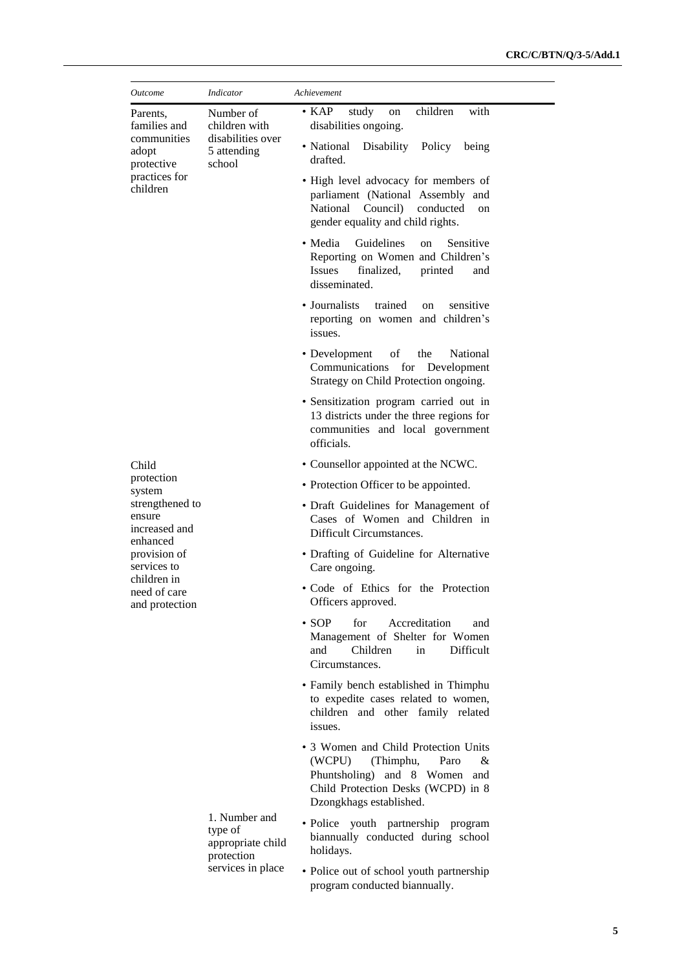| <i>Outcome</i>                                                                                                                         | Indicator                                                                | Achievement                                                                                                                                                                |
|----------------------------------------------------------------------------------------------------------------------------------------|--------------------------------------------------------------------------|----------------------------------------------------------------------------------------------------------------------------------------------------------------------------|
| Parents,<br>families and<br>communities<br>adopt<br>protective<br>practices for<br>children                                            | Number of<br>children with<br>disabilities over<br>5 attending<br>school | $\bullet$ KAP<br>study<br>children<br>with<br>on<br>disabilities ongoing.                                                                                                  |
|                                                                                                                                        |                                                                          | • National<br>Disability<br>Policy<br>being<br>drafted.                                                                                                                    |
|                                                                                                                                        |                                                                          | • High level advocacy for members of<br>parliament (National Assembly and<br>National Council)<br>conducted<br>on<br>gender equality and child rights.                     |
|                                                                                                                                        |                                                                          | • Media<br>Guidelines<br>Sensitive<br>on<br>Reporting on Women and Children's<br>finalized,<br>printed<br><i>Issues</i><br>and<br>disseminated.                            |
|                                                                                                                                        |                                                                          | • Journalists<br>trained<br>sensitive<br>on<br>reporting on women and children's<br>issues.                                                                                |
|                                                                                                                                        |                                                                          | • Development<br>the<br>οf<br>National<br>Communications<br>for Development<br>Strategy on Child Protection ongoing.                                                       |
|                                                                                                                                        |                                                                          | • Sensitization program carried out in<br>13 districts under the three regions for<br>communities and local government<br>officials.                                       |
| Child                                                                                                                                  |                                                                          | • Counsellor appointed at the NCWC.                                                                                                                                        |
| protection<br>system                                                                                                                   |                                                                          | • Protection Officer to be appointed.                                                                                                                                      |
| strengthened to<br>ensure<br>increased and<br>enhanced<br>provision of<br>services to<br>children in<br>need of care<br>and protection |                                                                          | • Draft Guidelines for Management of<br>Cases of Women and Children in<br>Difficult Circumstances.                                                                         |
|                                                                                                                                        |                                                                          | • Drafting of Guideline for Alternative<br>Care ongoing.                                                                                                                   |
|                                                                                                                                        |                                                                          | · Code of Ethics for the Protection<br>Officers approved.                                                                                                                  |
|                                                                                                                                        |                                                                          | $\cdot$ SOP<br>for<br>Accreditation<br>and<br>Management of Shelter for Women<br>Children<br>Difficult<br>and<br>in<br>Circumstances.                                      |
|                                                                                                                                        | 1. Number and<br>type of<br>appropriate child<br>protection              | • Family bench established in Thimphu<br>to expedite cases related to women,<br>children and other family related<br>issues.                                               |
|                                                                                                                                        |                                                                          | • 3 Women and Child Protection Units<br>(WCPU)<br>(Thimphu,<br>Paro<br>&<br>Phuntsholing) and 8 Women and<br>Child Protection Desks (WCPD) in 8<br>Dzongkhags established. |
|                                                                                                                                        |                                                                          | · Police youth partnership program<br>biannually conducted during school<br>holidays.                                                                                      |
|                                                                                                                                        | services in place                                                        | • Police out of school youth partnership<br>program conducted biannually.                                                                                                  |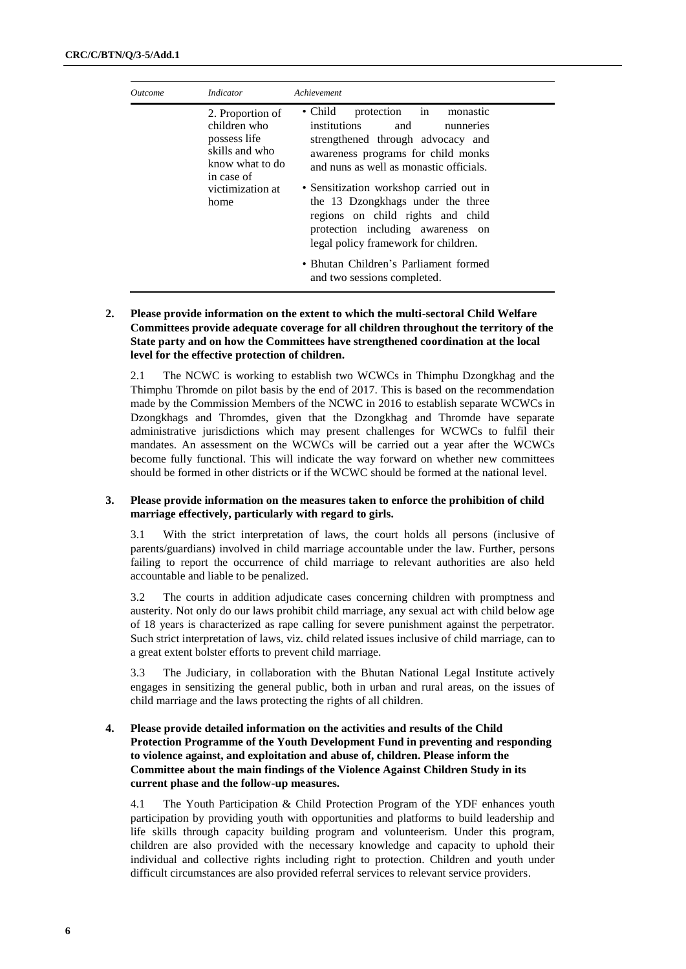| <i>Outcome</i> | Indicator                                                                                                                       | Achievement                                                                                                                                                                                                                                                                                                                                                                                                                                                                      |
|----------------|---------------------------------------------------------------------------------------------------------------------------------|----------------------------------------------------------------------------------------------------------------------------------------------------------------------------------------------------------------------------------------------------------------------------------------------------------------------------------------------------------------------------------------------------------------------------------------------------------------------------------|
|                | 2. Proportion of<br>children who<br>possess life<br>skills and who<br>know what to do<br>in case of<br>victimization at<br>home | protection in<br>$\bullet$ Child<br>monastic<br>institutions<br>and<br>nunneries<br>strengthened through advocacy and<br>awareness programs for child monks<br>and nuns as well as monastic officials.<br>• Sensitization workshop carried out in<br>the 13 Dzongkhags under the three<br>regions on child rights and child<br>protection including awareness on<br>legal policy framework for children.<br>• Bhutan Children's Parliament formed<br>and two sessions completed. |

#### **2. Please provide information on the extent to which the multi-sectoral Child Welfare Committees provide adequate coverage for all children throughout the territory of the State party and on how the Committees have strengthened coordination at the local level for the effective protection of children.**

2.1 The NCWC is working to establish two WCWCs in Thimphu Dzongkhag and the Thimphu Thromde on pilot basis by the end of 2017. This is based on the recommendation made by the Commission Members of the NCWC in 2016 to establish separate WCWCs in Dzongkhags and Thromdes, given that the Dzongkhag and Thromde have separate administrative jurisdictions which may present challenges for WCWCs to fulfil their mandates. An assessment on the WCWCs will be carried out a year after the WCWCs become fully functional. This will indicate the way forward on whether new committees should be formed in other districts or if the WCWC should be formed at the national level.

#### **3. Please provide information on the measures taken to enforce the prohibition of child marriage effectively, particularly with regard to girls.**

3.1 With the strict interpretation of laws, the court holds all persons (inclusive of parents/guardians) involved in child marriage accountable under the law. Further, persons failing to report the occurrence of child marriage to relevant authorities are also held accountable and liable to be penalized.

3.2 The courts in addition adjudicate cases concerning children with promptness and austerity. Not only do our laws prohibit child marriage, any sexual act with child below age of 18 years is characterized as rape calling for severe punishment against the perpetrator. Such strict interpretation of laws, viz. child related issues inclusive of child marriage, can to a great extent bolster efforts to prevent child marriage.

3.3 The Judiciary, in collaboration with the Bhutan National Legal Institute actively engages in sensitizing the general public, both in urban and rural areas, on the issues of child marriage and the laws protecting the rights of all children.

#### **4. Please provide detailed information on the activities and results of the Child Protection Programme of the Youth Development Fund in preventing and responding to violence against, and exploitation and abuse of, children. Please inform the Committee about the main findings of the Violence Against Children Study in its current phase and the follow-up measures.**

4.1 The Youth Participation & Child Protection Program of the YDF enhances youth participation by providing youth with opportunities and platforms to build leadership and life skills through capacity building program and volunteerism. Under this program, children are also provided with the necessary knowledge and capacity to uphold their individual and collective rights including right to protection. Children and youth under difficult circumstances are also provided referral services to relevant service providers.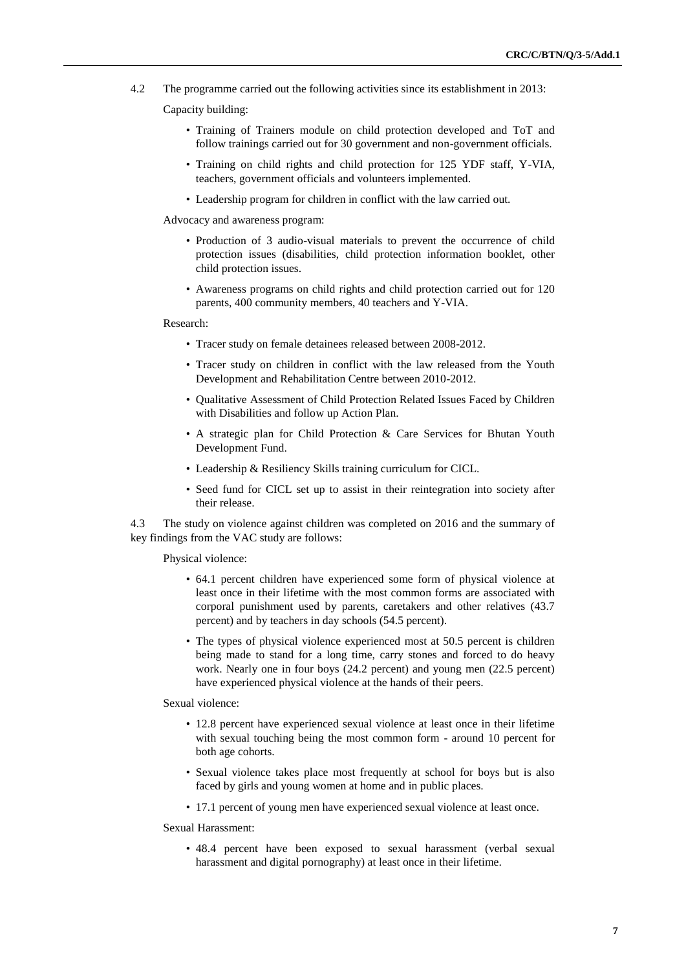4.2 The programme carried out the following activities since its establishment in 2013:

#### Capacity building:

- Training of Trainers module on child protection developed and ToT and follow trainings carried out for 30 government and non-government officials.
- Training on child rights and child protection for 125 YDF staff, Y-VIA, teachers, government officials and volunteers implemented.
- Leadership program for children in conflict with the law carried out.

Advocacy and awareness program:

- Production of 3 audio-visual materials to prevent the occurrence of child protection issues (disabilities, child protection information booklet, other child protection issues.
- Awareness programs on child rights and child protection carried out for 120 parents, 400 community members, 40 teachers and Y-VIA.

#### Research:

- Tracer study on female detainees released between 2008-2012.
- Tracer study on children in conflict with the law released from the Youth Development and Rehabilitation Centre between 2010-2012.
- Qualitative Assessment of Child Protection Related Issues Faced by Children with Disabilities and follow up Action Plan.
- A strategic plan for Child Protection & Care Services for Bhutan Youth Development Fund.
- Leadership & Resiliency Skills training curriculum for CICL.
- Seed fund for CICL set up to assist in their reintegration into society after their release.

4.3 The study on violence against children was completed on 2016 and the summary of key findings from the VAC study are follows:

Physical violence:

- 64.1 percent children have experienced some form of physical violence at least once in their lifetime with the most common forms are associated with corporal punishment used by parents, caretakers and other relatives (43.7 percent) and by teachers in day schools (54.5 percent).
- The types of physical violence experienced most at 50.5 percent is children being made to stand for a long time, carry stones and forced to do heavy work. Nearly one in four boys (24.2 percent) and young men (22.5 percent) have experienced physical violence at the hands of their peers.

#### Sexual violence:

- 12.8 percent have experienced sexual violence at least once in their lifetime with sexual touching being the most common form - around 10 percent for both age cohorts.
- Sexual violence takes place most frequently at school for boys but is also faced by girls and young women at home and in public places.
- 17.1 percent of young men have experienced sexual violence at least once.

Sexual Harassment:

• 48.4 percent have been exposed to sexual harassment (verbal sexual harassment and digital pornography) at least once in their lifetime.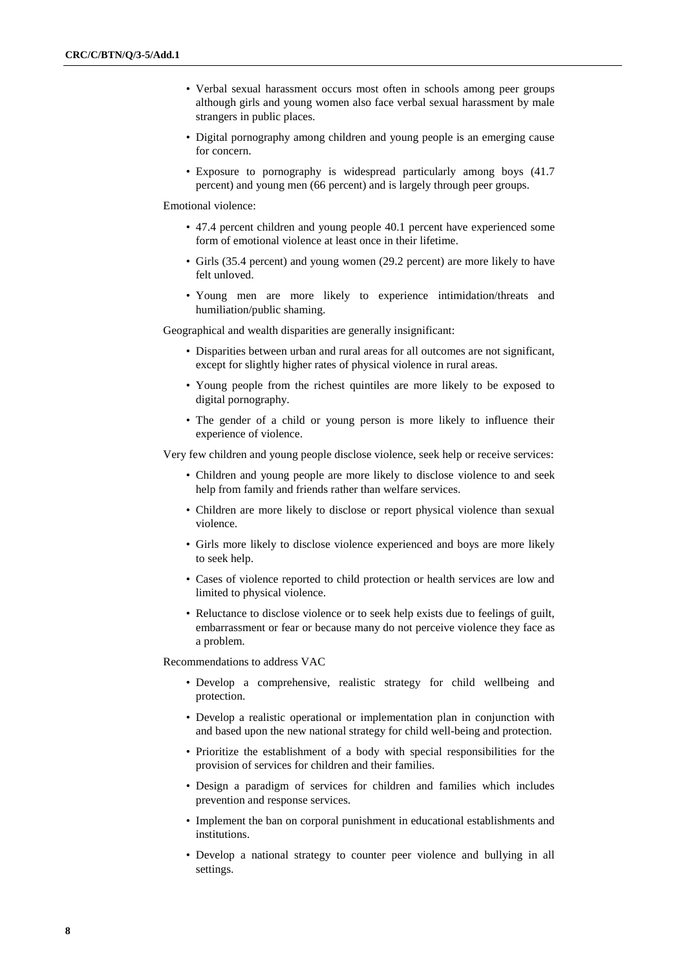- Verbal sexual harassment occurs most often in schools among peer groups although girls and young women also face verbal sexual harassment by male strangers in public places.
- Digital pornography among children and young people is an emerging cause for concern.
- Exposure to pornography is widespread particularly among boys (41.7 percent) and young men (66 percent) and is largely through peer groups.

Emotional violence:

- 47.4 percent children and young people 40.1 percent have experienced some form of emotional violence at least once in their lifetime.
- Girls (35.4 percent) and young women (29.2 percent) are more likely to have felt unloved.
- Young men are more likely to experience intimidation/threats and humiliation/public shaming.

Geographical and wealth disparities are generally insignificant:

- Disparities between urban and rural areas for all outcomes are not significant, except for slightly higher rates of physical violence in rural areas.
- Young people from the richest quintiles are more likely to be exposed to digital pornography.
- The gender of a child or young person is more likely to influence their experience of violence.

Very few children and young people disclose violence, seek help or receive services:

- Children and young people are more likely to disclose violence to and seek help from family and friends rather than welfare services.
- Children are more likely to disclose or report physical violence than sexual violence.
- Girls more likely to disclose violence experienced and boys are more likely to seek help.
- Cases of violence reported to child protection or health services are low and limited to physical violence.
- Reluctance to disclose violence or to seek help exists due to feelings of guilt, embarrassment or fear or because many do not perceive violence they face as a problem.

Recommendations to address VAC

- Develop a comprehensive, realistic strategy for child wellbeing and protection.
- Develop a realistic operational or implementation plan in conjunction with and based upon the new national strategy for child well-being and protection.
- Prioritize the establishment of a body with special responsibilities for the provision of services for children and their families.
- Design a paradigm of services for children and families which includes prevention and response services.
- Implement the ban on corporal punishment in educational establishments and institutions.
- Develop a national strategy to counter peer violence and bullying in all settings.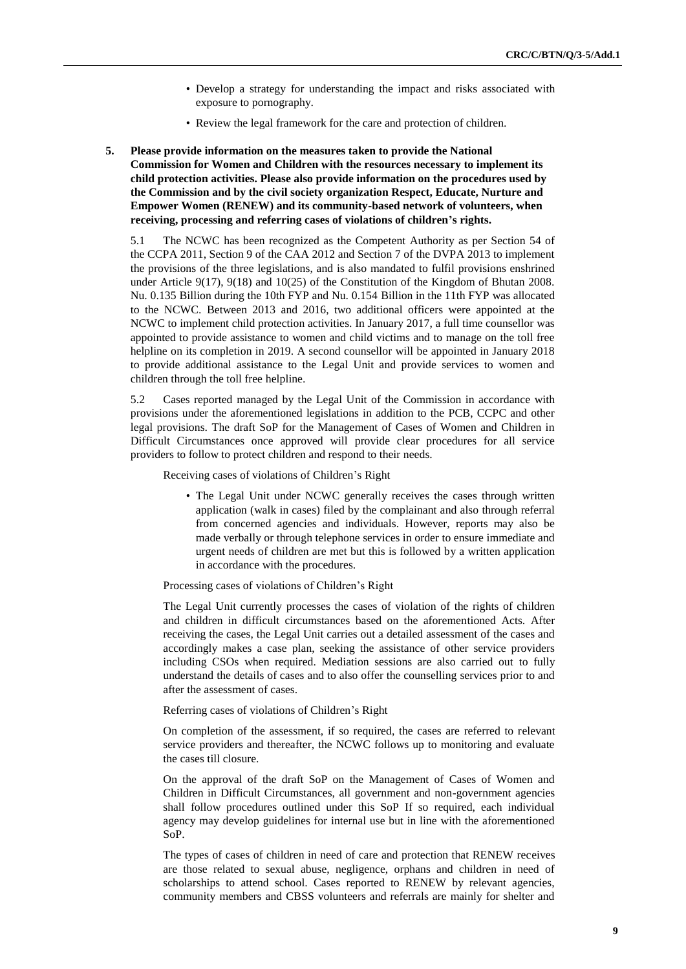- Develop a strategy for understanding the impact and risks associated with exposure to pornography.
- Review the legal framework for the care and protection of children.
- **5. Please provide information on the measures taken to provide the National Commission for Women and Children with the resources necessary to implement its child protection activities. Please also provide information on the procedures used by the Commission and by the civil society organization Respect, Educate, Nurture and Empower Women (RENEW) and its community-based network of volunteers, when receiving, processing and referring cases of violations of children's rights.**

5.1 The NCWC has been recognized as the Competent Authority as per Section 54 of the CCPA 2011, Section 9 of the CAA 2012 and Section 7 of the DVPA 2013 to implement the provisions of the three legislations, and is also mandated to fulfil provisions enshrined under Article 9(17), 9(18) and 10(25) of the Constitution of the Kingdom of Bhutan 2008. Nu. 0.135 Billion during the 10th FYP and Nu. 0.154 Billion in the 11th FYP was allocated to the NCWC. Between 2013 and 2016, two additional officers were appointed at the NCWC to implement child protection activities. In January 2017, a full time counsellor was appointed to provide assistance to women and child victims and to manage on the toll free helpline on its completion in 2019. A second counsellor will be appointed in January 2018 to provide additional assistance to the Legal Unit and provide services to women and children through the toll free helpline.

5.2 Cases reported managed by the Legal Unit of the Commission in accordance with provisions under the aforementioned legislations in addition to the PCB, CCPC and other legal provisions. The draft SoP for the Management of Cases of Women and Children in Difficult Circumstances once approved will provide clear procedures for all service providers to follow to protect children and respond to their needs.

Receiving cases of violations of Children's Right

• The Legal Unit under NCWC generally receives the cases through written application (walk in cases) filed by the complainant and also through referral from concerned agencies and individuals. However, reports may also be made verbally or through telephone services in order to ensure immediate and urgent needs of children are met but this is followed by a written application in accordance with the procedures.

#### Processing cases of violations of Children's Right

The Legal Unit currently processes the cases of violation of the rights of children and children in difficult circumstances based on the aforementioned Acts. After receiving the cases, the Legal Unit carries out a detailed assessment of the cases and accordingly makes a case plan, seeking the assistance of other service providers including CSOs when required. Mediation sessions are also carried out to fully understand the details of cases and to also offer the counselling services prior to and after the assessment of cases.

#### Referring cases of violations of Children's Right

On completion of the assessment, if so required, the cases are referred to relevant service providers and thereafter, the NCWC follows up to monitoring and evaluate the cases till closure.

On the approval of the draft SoP on the Management of Cases of Women and Children in Difficult Circumstances, all government and non-government agencies shall follow procedures outlined under this SoP If so required, each individual agency may develop guidelines for internal use but in line with the aforementioned SoP.

The types of cases of children in need of care and protection that RENEW receives are those related to sexual abuse, negligence, orphans and children in need of scholarships to attend school. Cases reported to RENEW by relevant agencies, community members and CBSS volunteers and referrals are mainly for shelter and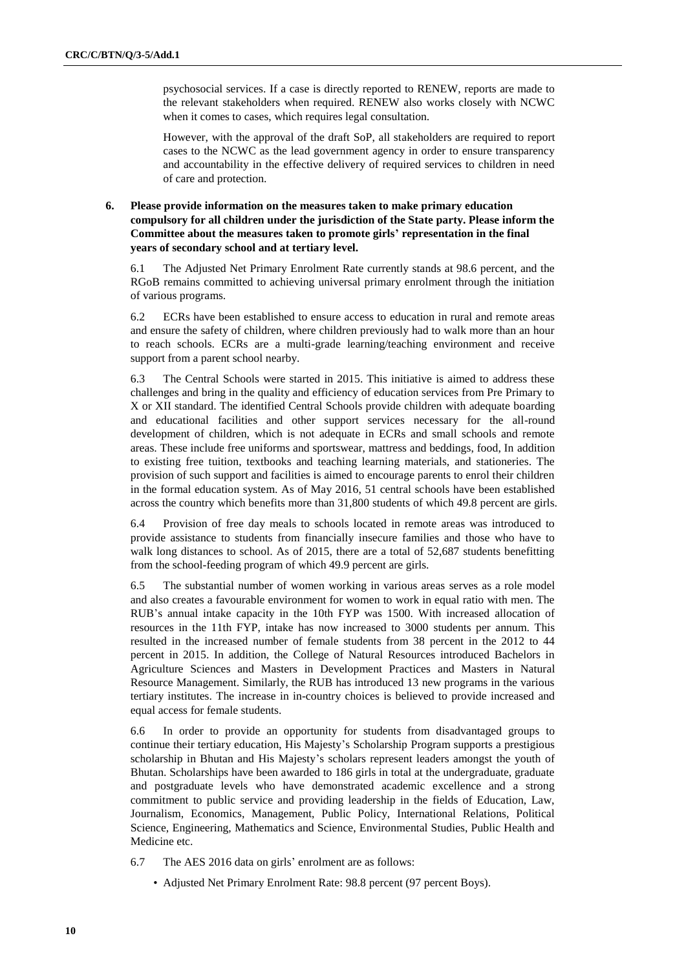psychosocial services. If a case is directly reported to RENEW, reports are made to the relevant stakeholders when required. RENEW also works closely with NCWC when it comes to cases, which requires legal consultation.

However, with the approval of the draft SoP, all stakeholders are required to report cases to the NCWC as the lead government agency in order to ensure transparency and accountability in the effective delivery of required services to children in need of care and protection.

#### **6. Please provide information on the measures taken to make primary education compulsory for all children under the jurisdiction of the State party. Please inform the Committee about the measures taken to promote girls' representation in the final years of secondary school and at tertiary level.**

6.1 The Adjusted Net Primary Enrolment Rate currently stands at 98.6 percent, and the RGoB remains committed to achieving universal primary enrolment through the initiation of various programs.

6.2 ECRs have been established to ensure access to education in rural and remote areas and ensure the safety of children, where children previously had to walk more than an hour to reach schools. ECRs are a multi-grade learning/teaching environment and receive support from a parent school nearby.

6.3 The Central Schools were started in 2015. This initiative is aimed to address these challenges and bring in the quality and efficiency of education services from Pre Primary to X or XII standard. The identified Central Schools provide children with adequate boarding and educational facilities and other support services necessary for the all-round development of children, which is not adequate in ECRs and small schools and remote areas. These include free uniforms and sportswear, mattress and beddings, food, In addition to existing free tuition, textbooks and teaching learning materials, and stationeries. The provision of such support and facilities is aimed to encourage parents to enrol their children in the formal education system. As of May 2016, 51 central schools have been established across the country which benefits more than 31,800 students of which 49.8 percent are girls.

6.4 Provision of free day meals to schools located in remote areas was introduced to provide assistance to students from financially insecure families and those who have to walk long distances to school. As of 2015, there are a total of 52,687 students benefitting from the school-feeding program of which 49.9 percent are girls.

6.5 The substantial number of women working in various areas serves as a role model and also creates a favourable environment for women to work in equal ratio with men. The RUB's annual intake capacity in the 10th FYP was 1500. With increased allocation of resources in the 11th FYP, intake has now increased to 3000 students per annum. This resulted in the increased number of female students from 38 percent in the 2012 to 44 percent in 2015. In addition, the College of Natural Resources introduced Bachelors in Agriculture Sciences and Masters in Development Practices and Masters in Natural Resource Management. Similarly, the RUB has introduced 13 new programs in the various tertiary institutes. The increase in in-country choices is believed to provide increased and equal access for female students.

6.6 In order to provide an opportunity for students from disadvantaged groups to continue their tertiary education, His Majesty's Scholarship Program supports a prestigious scholarship in Bhutan and His Majesty's scholars represent leaders amongst the youth of Bhutan. Scholarships have been awarded to 186 girls in total at the undergraduate, graduate and postgraduate levels who have demonstrated academic excellence and a strong commitment to public service and providing leadership in the fields of Education, Law, Journalism, Economics, Management, Public Policy, International Relations, Political Science, Engineering, Mathematics and Science, Environmental Studies, Public Health and Medicine etc.

- 6.7 The AES 2016 data on girls' enrolment are as follows:
	- Adjusted Net Primary Enrolment Rate: 98.8 percent (97 percent Boys).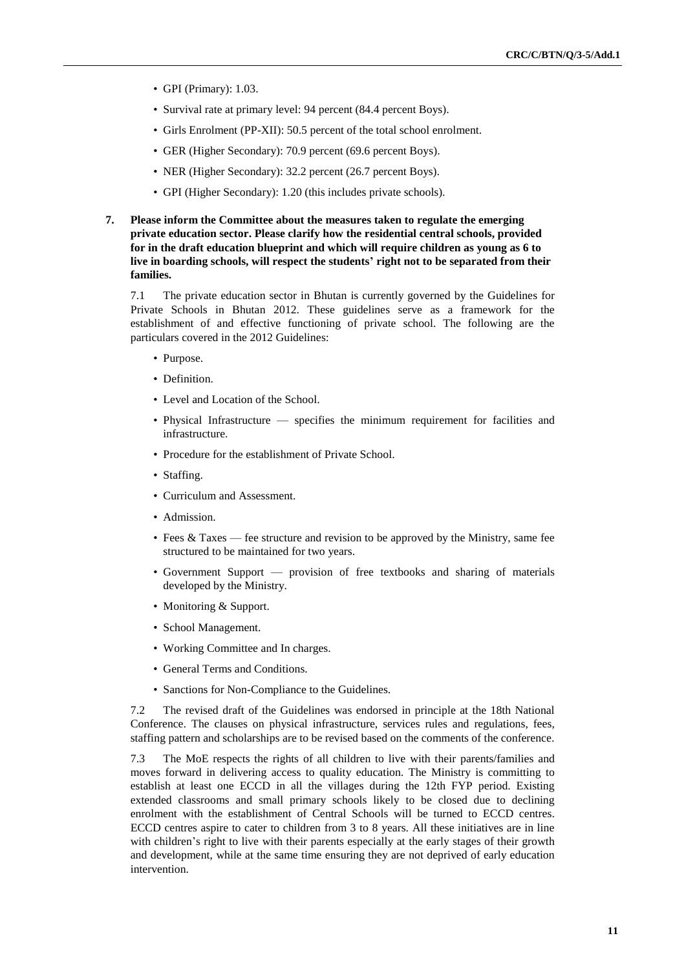- GPI (Primary): 1.03.
- Survival rate at primary level: 94 percent (84.4 percent Boys).
- Girls Enrolment (PP-XII): 50.5 percent of the total school enrolment.
- GER (Higher Secondary): 70.9 percent (69.6 percent Boys).
- NER (Higher Secondary): 32.2 percent (26.7 percent Boys).
- GPI (Higher Secondary): 1.20 (this includes private schools).
- **7. Please inform the Committee about the measures taken to regulate the emerging private education sector. Please clarify how the residential central schools, provided for in the draft education blueprint and which will require children as young as 6 to live in boarding schools, will respect the students' right not to be separated from their families.**

7.1 The private education sector in Bhutan is currently governed by the Guidelines for Private Schools in Bhutan 2012. These guidelines serve as a framework for the establishment of and effective functioning of private school. The following are the particulars covered in the 2012 Guidelines:

- Purpose.
- Definition.
- Level and Location of the School.
- Physical Infrastructure specifies the minimum requirement for facilities and infrastructure.
- Procedure for the establishment of Private School.
- Staffing.
- Curriculum and Assessment.
- Admission.
- Fees & Taxes fee structure and revision to be approved by the Ministry, same fee structured to be maintained for two years.
- Government Support provision of free textbooks and sharing of materials developed by the Ministry.
- Monitoring & Support.
- School Management.
- Working Committee and In charges.
- General Terms and Conditions.
- Sanctions for Non-Compliance to the Guidelines.

7.2 The revised draft of the Guidelines was endorsed in principle at the 18th National Conference. The clauses on physical infrastructure, services rules and regulations, fees, staffing pattern and scholarships are to be revised based on the comments of the conference.

7.3 The MoE respects the rights of all children to live with their parents/families and moves forward in delivering access to quality education. The Ministry is committing to establish at least one ECCD in all the villages during the 12th FYP period. Existing extended classrooms and small primary schools likely to be closed due to declining enrolment with the establishment of Central Schools will be turned to ECCD centres. ECCD centres aspire to cater to children from 3 to 8 years. All these initiatives are in line with children's right to live with their parents especially at the early stages of their growth and development, while at the same time ensuring they are not deprived of early education intervention.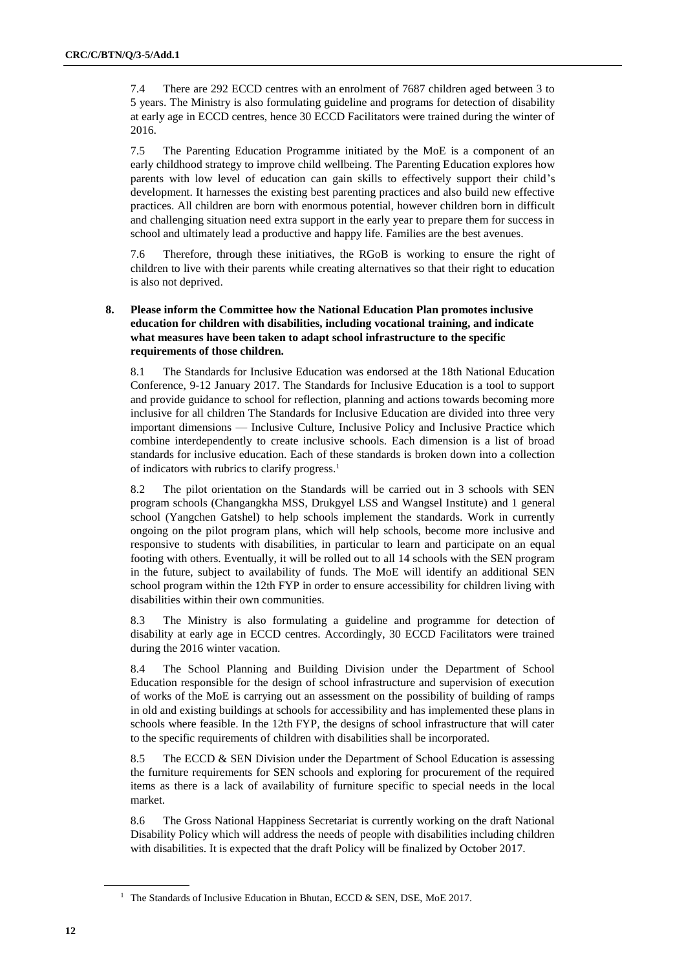7.4 There are 292 ECCD centres with an enrolment of 7687 children aged between 3 to 5 years. The Ministry is also formulating guideline and programs for detection of disability at early age in ECCD centres, hence 30 ECCD Facilitators were trained during the winter of 2016.

7.5 The Parenting Education Programme initiated by the MoE is a component of an early childhood strategy to improve child wellbeing. The Parenting Education explores how parents with low level of education can gain skills to effectively support their child's development. It harnesses the existing best parenting practices and also build new effective practices. All children are born with enormous potential, however children born in difficult and challenging situation need extra support in the early year to prepare them for success in school and ultimately lead a productive and happy life. Families are the best avenues.

7.6 Therefore, through these initiatives, the RGoB is working to ensure the right of children to live with their parents while creating alternatives so that their right to education is also not deprived.

#### **8. Please inform the Committee how the National Education Plan promotes inclusive education for children with disabilities, including vocational training, and indicate what measures have been taken to adapt school infrastructure to the specific requirements of those children.**

8.1 The Standards for Inclusive Education was endorsed at the 18th National Education Conference, 9-12 January 2017. The Standards for Inclusive Education is a tool to support and provide guidance to school for reflection, planning and actions towards becoming more inclusive for all children The Standards for Inclusive Education are divided into three very important dimensions — Inclusive Culture, Inclusive Policy and Inclusive Practice which combine interdependently to create inclusive schools. Each dimension is a list of broad standards for inclusive education. Each of these standards is broken down into a collection of indicators with rubrics to clarify progress.<sup>1</sup>

8.2 The pilot orientation on the Standards will be carried out in 3 schools with SEN program schools (Changangkha MSS, Drukgyel LSS and Wangsel Institute) and 1 general school (Yangchen Gatshel) to help schools implement the standards. Work in currently ongoing on the pilot program plans, which will help schools, become more inclusive and responsive to students with disabilities, in particular to learn and participate on an equal footing with others. Eventually, it will be rolled out to all 14 schools with the SEN program in the future, subject to availability of funds. The MoE will identify an additional SEN school program within the 12th FYP in order to ensure accessibility for children living with disabilities within their own communities.

8.3 The Ministry is also formulating a guideline and programme for detection of disability at early age in ECCD centres. Accordingly, 30 ECCD Facilitators were trained during the 2016 winter vacation.

8.4 The School Planning and Building Division under the Department of School Education responsible for the design of school infrastructure and supervision of execution of works of the MoE is carrying out an assessment on the possibility of building of ramps in old and existing buildings at schools for accessibility and has implemented these plans in schools where feasible. In the 12th FYP, the designs of school infrastructure that will cater to the specific requirements of children with disabilities shall be incorporated.

8.5 The ECCD & SEN Division under the Department of School Education is assessing the furniture requirements for SEN schools and exploring for procurement of the required items as there is a lack of availability of furniture specific to special needs in the local market.

8.6 The Gross National Happiness Secretariat is currently working on the draft National Disability Policy which will address the needs of people with disabilities including children with disabilities. It is expected that the draft Policy will be finalized by October 2017.

<sup>&</sup>lt;sup>1</sup> The Standards of Inclusive Education in Bhutan, ECCD & SEN, DSE, MoE 2017.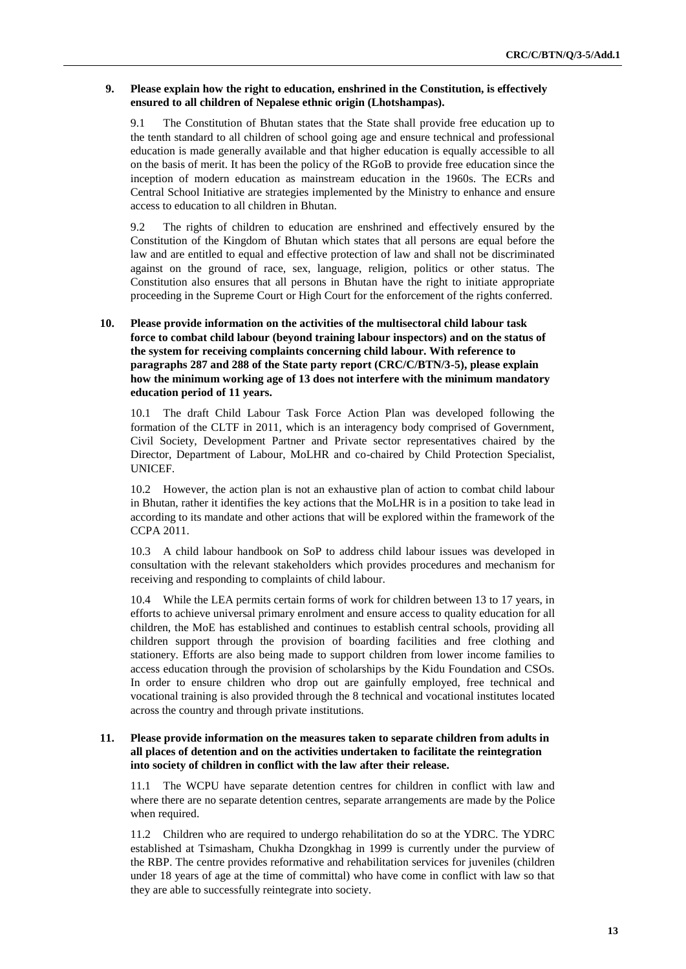#### **9. Please explain how the right to education, enshrined in the Constitution, is effectively ensured to all children of Nepalese ethnic origin (Lhotshampas).**

9.1 The Constitution of Bhutan states that the State shall provide free education up to the tenth standard to all children of school going age and ensure technical and professional education is made generally available and that higher education is equally accessible to all on the basis of merit. It has been the policy of the RGoB to provide free education since the inception of modern education as mainstream education in the 1960s. The ECRs and Central School Initiative are strategies implemented by the Ministry to enhance and ensure access to education to all children in Bhutan.

9.2 The rights of children to education are enshrined and effectively ensured by the Constitution of the Kingdom of Bhutan which states that all persons are equal before the law and are entitled to equal and effective protection of law and shall not be discriminated against on the ground of race, sex, language, religion, politics or other status. The Constitution also ensures that all persons in Bhutan have the right to initiate appropriate proceeding in the Supreme Court or High Court for the enforcement of the rights conferred.

#### **10. Please provide information on the activities of the multisectoral child labour task force to combat child labour (beyond training labour inspectors) and on the status of the system for receiving complaints concerning child labour. With reference to paragraphs 287 and 288 of the State party report (CRC/C/BTN/3-5), please explain how the minimum working age of 13 does not interfere with the minimum mandatory education period of 11 years.**

10.1 The draft Child Labour Task Force Action Plan was developed following the formation of the CLTF in 2011, which is an interagency body comprised of Government, Civil Society, Development Partner and Private sector representatives chaired by the Director, Department of Labour, MoLHR and co-chaired by Child Protection Specialist, UNICEF.

10.2 However, the action plan is not an exhaustive plan of action to combat child labour in Bhutan, rather it identifies the key actions that the MoLHR is in a position to take lead in according to its mandate and other actions that will be explored within the framework of the CCPA 2011.

10.3 A child labour handbook on SoP to address child labour issues was developed in consultation with the relevant stakeholders which provides procedures and mechanism for receiving and responding to complaints of child labour.

10.4 While the LEA permits certain forms of work for children between 13 to 17 years, in efforts to achieve universal primary enrolment and ensure access to quality education for all children, the MoE has established and continues to establish central schools, providing all children support through the provision of boarding facilities and free clothing and stationery. Efforts are also being made to support children from lower income families to access education through the provision of scholarships by the Kidu Foundation and CSOs. In order to ensure children who drop out are gainfully employed, free technical and vocational training is also provided through the 8 technical and vocational institutes located across the country and through private institutions.

#### **11. Please provide information on the measures taken to separate children from adults in all places of detention and on the activities undertaken to facilitate the reintegration into society of children in conflict with the law after their release.**

11.1 The WCPU have separate detention centres for children in conflict with law and where there are no separate detention centres, separate arrangements are made by the Police when required.

11.2 Children who are required to undergo rehabilitation do so at the YDRC. The YDRC established at Tsimasham, Chukha Dzongkhag in 1999 is currently under the purview of the RBP. The centre provides reformative and rehabilitation services for juveniles (children under 18 years of age at the time of committal) who have come in conflict with law so that they are able to successfully reintegrate into society.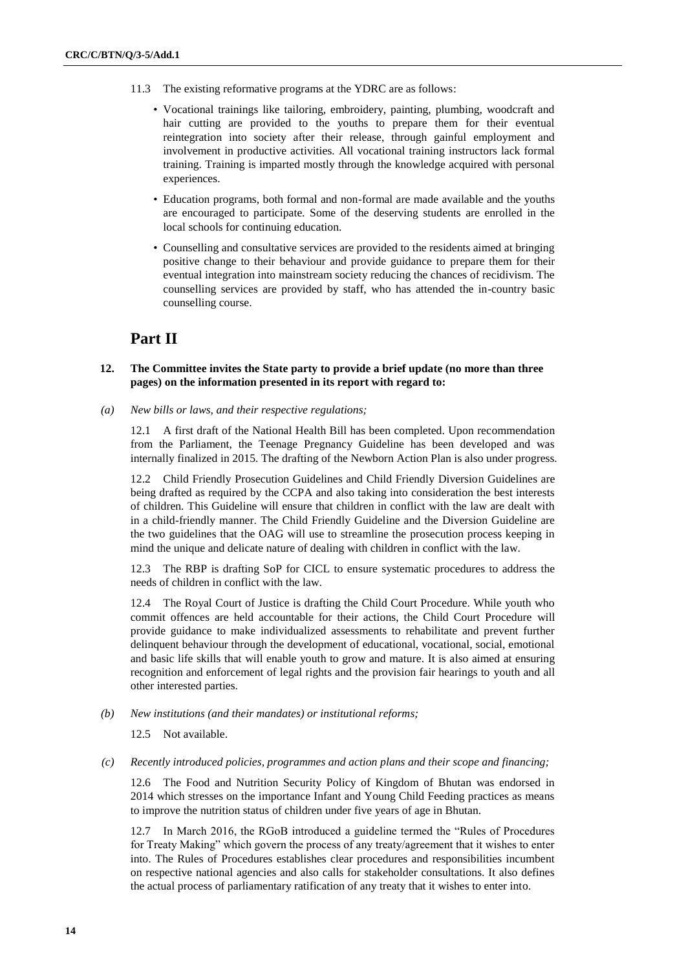- 11.3 The existing reformative programs at the YDRC are as follows:
	- Vocational trainings like tailoring, embroidery, painting, plumbing, woodcraft and hair cutting are provided to the youths to prepare them for their eventual reintegration into society after their release, through gainful employment and involvement in productive activities. All vocational training instructors lack formal training. Training is imparted mostly through the knowledge acquired with personal experiences.
	- Education programs, both formal and non-formal are made available and the youths are encouraged to participate. Some of the deserving students are enrolled in the local schools for continuing education.
	- Counselling and consultative services are provided to the residents aimed at bringing positive change to their behaviour and provide guidance to prepare them for their eventual integration into mainstream society reducing the chances of recidivism. The counselling services are provided by staff, who has attended the in-country basic counselling course.

### **Part II**

#### **12. The Committee invites the State party to provide a brief update (no more than three pages) on the information presented in its report with regard to:**

*(a) New bills or laws, and their respective regulations;* 

12.1 A first draft of the National Health Bill has been completed. Upon recommendation from the Parliament, the Teenage Pregnancy Guideline has been developed and was internally finalized in 2015. The drafting of the Newborn Action Plan is also under progress.

12.2 Child Friendly Prosecution Guidelines and Child Friendly Diversion Guidelines are being drafted as required by the CCPA and also taking into consideration the best interests of children. This Guideline will ensure that children in conflict with the law are dealt with in a child-friendly manner. The Child Friendly Guideline and the Diversion Guideline are the two guidelines that the OAG will use to streamline the prosecution process keeping in mind the unique and delicate nature of dealing with children in conflict with the law.

12.3 The RBP is drafting SoP for CICL to ensure systematic procedures to address the needs of children in conflict with the law.

12.4 The Royal Court of Justice is drafting the Child Court Procedure. While youth who commit offences are held accountable for their actions, the Child Court Procedure will provide guidance to make individualized assessments to rehabilitate and prevent further delinquent behaviour through the development of educational, vocational, social, emotional and basic life skills that will enable youth to grow and mature. It is also aimed at ensuring recognition and enforcement of legal rights and the provision fair hearings to youth and all other interested parties.

*(b) New institutions (and their mandates) or institutional reforms;* 

12.5 Not available.

#### *(c) Recently introduced policies, programmes and action plans and their scope and financing;*

12.6 The Food and Nutrition Security Policy of Kingdom of Bhutan was endorsed in 2014 which stresses on the importance Infant and Young Child Feeding practices as means to improve the nutrition status of children under five years of age in Bhutan.

12.7 In March 2016, the RGoB introduced a guideline termed the "Rules of Procedures for Treaty Making" which govern the process of any treaty/agreement that it wishes to enter into. The Rules of Procedures establishes clear procedures and responsibilities incumbent on respective national agencies and also calls for stakeholder consultations. It also defines the actual process of parliamentary ratification of any treaty that it wishes to enter into.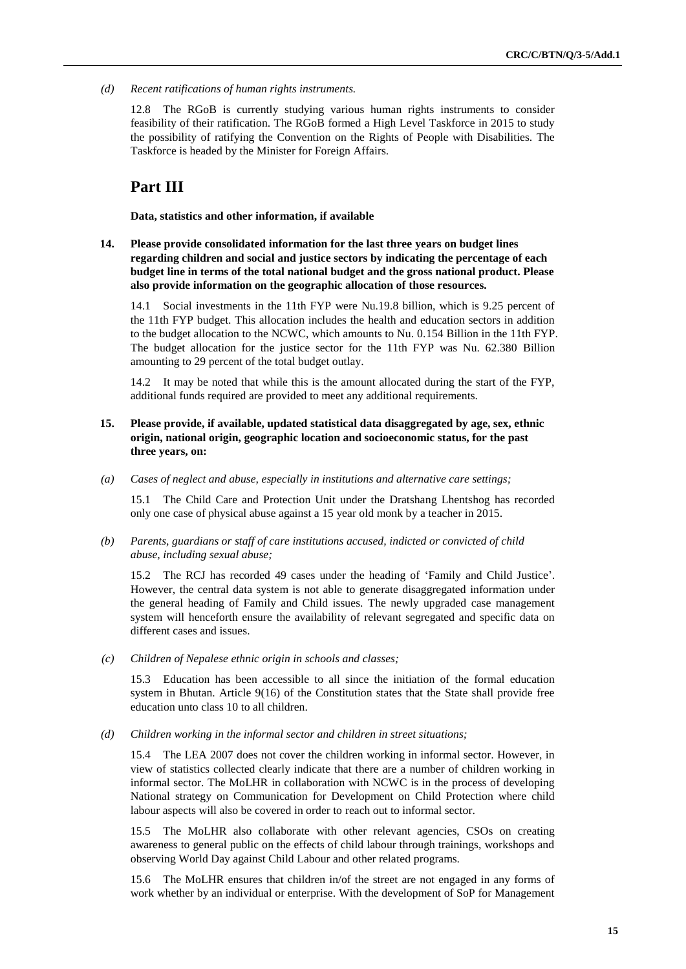*(d) Recent ratifications of human rights instruments.* 

12.8 The RGoB is currently studying various human rights instruments to consider feasibility of their ratification. The RGoB formed a High Level Taskforce in 2015 to study the possibility of ratifying the Convention on the Rights of People with Disabilities. The Taskforce is headed by the Minister for Foreign Affairs.

### **Part III**

**Data, statistics and other information, if available** 

**14. Please provide consolidated information for the last three years on budget lines regarding children and social and justice sectors by indicating the percentage of each budget line in terms of the total national budget and the gross national product. Please also provide information on the geographic allocation of those resources.**

14.1 Social investments in the 11th FYP were Nu.19.8 billion, which is 9.25 percent of the 11th FYP budget. This allocation includes the health and education sectors in addition to the budget allocation to the NCWC, which amounts to Nu. 0.154 Billion in the 11th FYP. The budget allocation for the justice sector for the 11th FYP was Nu. 62.380 Billion amounting to 29 percent of the total budget outlay.

14.2 It may be noted that while this is the amount allocated during the start of the FYP, additional funds required are provided to meet any additional requirements.

- **15. Please provide, if available, updated statistical data disaggregated by age, sex, ethnic origin, national origin, geographic location and socioeconomic status, for the past three years, on:**
- *(a) Cases of neglect and abuse, especially in institutions and alternative care settings;*

15.1 The Child Care and Protection Unit under the Dratshang Lhentshog has recorded only one case of physical abuse against a 15 year old monk by a teacher in 2015.

*(b) Parents, guardians or staff of care institutions accused, indicted or convicted of child abuse, including sexual abuse;* 

15.2 The RCJ has recorded 49 cases under the heading of 'Family and Child Justice'. However, the central data system is not able to generate disaggregated information under the general heading of Family and Child issues. The newly upgraded case management system will henceforth ensure the availability of relevant segregated and specific data on different cases and issues.

*(c) Children of Nepalese ethnic origin in schools and classes;* 

15.3 Education has been accessible to all since the initiation of the formal education system in Bhutan. Article 9(16) of the Constitution states that the State shall provide free education unto class 10 to all children.

*(d) Children working in the informal sector and children in street situations;* 

15.4 The LEA 2007 does not cover the children working in informal sector. However, in view of statistics collected clearly indicate that there are a number of children working in informal sector. The MoLHR in collaboration with NCWC is in the process of developing National strategy on Communication for Development on Child Protection where child labour aspects will also be covered in order to reach out to informal sector.

15.5 The MoLHR also collaborate with other relevant agencies, CSOs on creating awareness to general public on the effects of child labour through trainings, workshops and observing World Day against Child Labour and other related programs.

15.6 The MoLHR ensures that children in/of the street are not engaged in any forms of work whether by an individual or enterprise. With the development of SoP for Management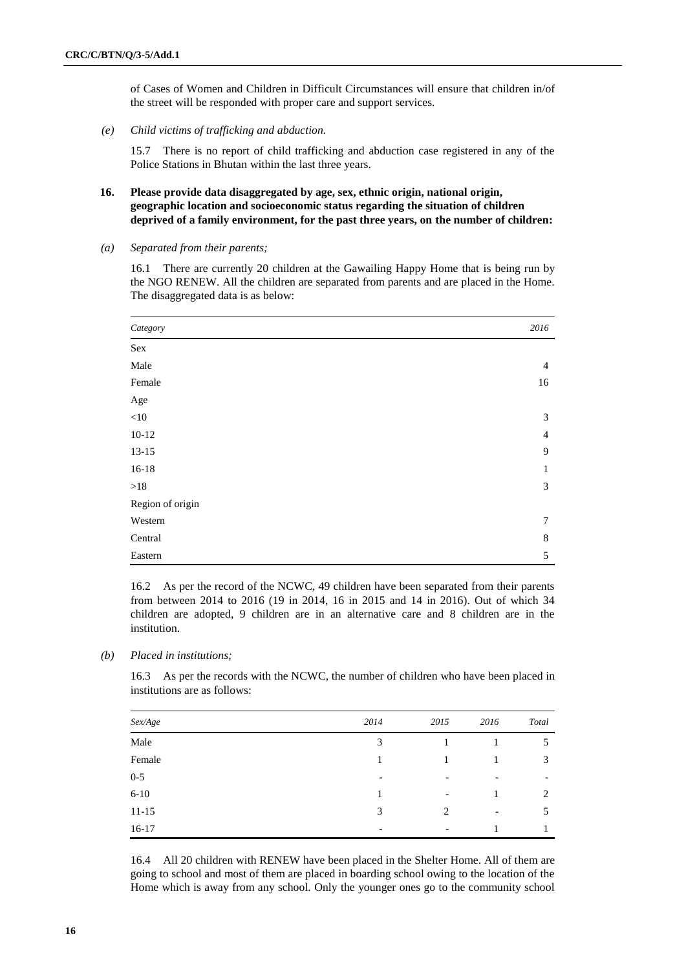of Cases of Women and Children in Difficult Circumstances will ensure that children in/of the street will be responded with proper care and support services.

*(e) Child victims of trafficking and abduction.* 

15.7 There is no report of child trafficking and abduction case registered in any of the Police Stations in Bhutan within the last three years.

#### **16. Please provide data disaggregated by age, sex, ethnic origin, national origin, geographic location and socioeconomic status regarding the situation of children deprived of a family environment, for the past three years, on the number of children:**

*(a) Separated from their parents;* 

16.1 There are currently 20 children at the Gawailing Happy Home that is being run by the NGO RENEW. All the children are separated from parents and are placed in the Home. The disaggregated data is as below:

| Category         | 2016           |
|------------------|----------------|
| Sex              |                |
| Male             | $\overline{4}$ |
| Female           | 16             |
| Age              |                |
| $<\!\!10$        | 3              |
| $10-12$          | $\overline{4}$ |
| $13 - 15$        | 9              |
| $16 - 18$        | 1              |
| >18              | 3              |
| Region of origin |                |
| Western          | 7              |
| Central          | 8              |
| Eastern          | 5              |

16.2 As per the record of the NCWC, 49 children have been separated from their parents from between 2014 to 2016 (19 in 2014, 16 in 2015 and 14 in 2016). Out of which 34 children are adopted, 9 children are in an alternative care and 8 children are in the institution.

*(b) Placed in institutions;* 

16.3 As per the records with the NCWC, the number of children who have been placed in institutions are as follows:

| Sex/Age   | 2014                     | 2015                         | 2016                     | Total |
|-----------|--------------------------|------------------------------|--------------------------|-------|
| Male      | 3                        |                              |                          | 5     |
| Female    |                          |                              |                          | 3     |
| $0 - 5$   | -                        | $\overline{\phantom{0}}$     | $\overline{\phantom{a}}$ |       |
| $6 - 10$  |                          | $\qquad \qquad \blacksquare$ |                          | 2     |
| $11 - 15$ | 3                        | 2                            | $\overline{\phantom{a}}$ | 5     |
| $16-17$   | $\overline{\phantom{0}}$ | $\overline{\phantom{0}}$     |                          |       |

16.4 All 20 children with RENEW have been placed in the Shelter Home. All of them are going to school and most of them are placed in boarding school owing to the location of the Home which is away from any school. Only the younger ones go to the community school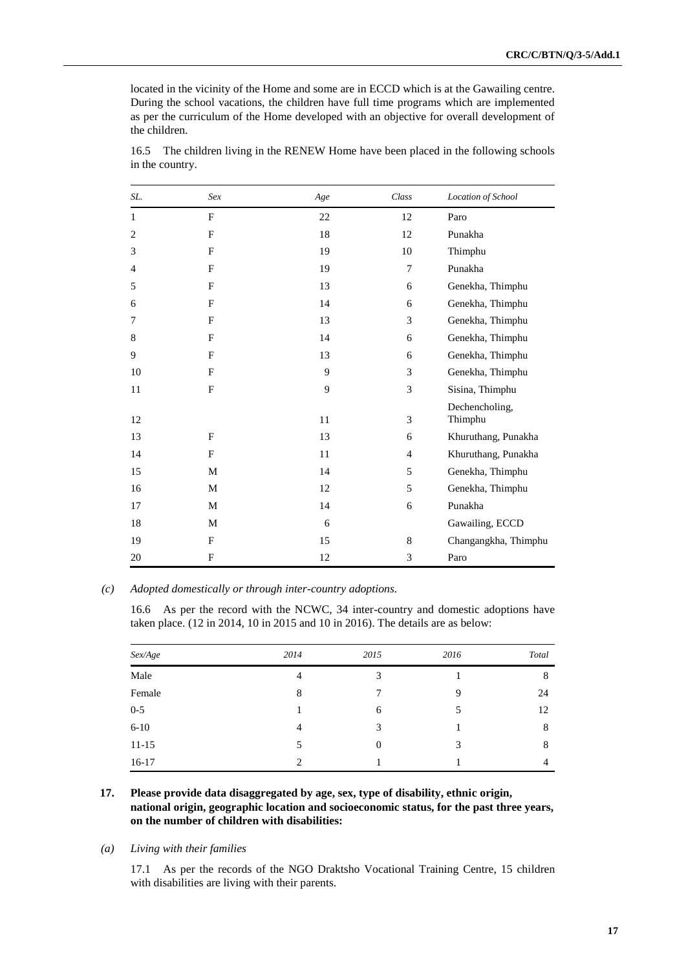located in the vicinity of the Home and some are in ECCD which is at the Gawailing centre. During the school vacations, the children have full time programs which are implemented as per the curriculum of the Home developed with an objective for overall development of the children.

| SL. | Sex         | Age | Class          | Location of School        |
|-----|-------------|-----|----------------|---------------------------|
| 1   | F           | 22  | 12             | Paro                      |
| 2   | $\mathbf F$ | 18  | 12             | Punakha                   |
| 3   | F           | 19  | 10             | Thimphu                   |
| 4   | F           | 19  | 7              | Punakha                   |
| 5   | F           | 13  | 6              | Genekha, Thimphu          |
| 6   | F           | 14  | 6              | Genekha, Thimphu          |
| 7   | F           | 13  | 3              | Genekha, Thimphu          |
| 8   | F           | 14  | 6              | Genekha, Thimphu          |
| 9   | F           | 13  | 6              | Genekha, Thimphu          |
| 10  | F           | 9   | 3              | Genekha, Thimphu          |
| 11  | F           | 9   | 3              | Sisina, Thimphu           |
| 12  |             | 11  | 3              | Dechencholing,<br>Thimphu |
| 13  | F           | 13  | 6              | Khuruthang, Punakha       |
| 14  | F           | 11  | $\overline{4}$ | Khuruthang, Punakha       |
| 15  | M           | 14  | 5              | Genekha, Thimphu          |
| 16  | M           | 12  | 5              | Genekha, Thimphu          |
| 17  | M           | 14  | 6              | Punakha                   |
| 18  | M           | 6   |                | Gawailing, ECCD           |
| 19  | F           | 15  | 8              | Changangkha, Thimphu      |
| 20  | F           | 12  | 3              | Paro                      |

16.5 The children living in the RENEW Home have been placed in the following schools in the country.

#### *(c) Adopted domestically or through inter-country adoptions.*

16.6 As per the record with the NCWC, 34 inter-country and domestic adoptions have taken place. (12 in 2014, 10 in 2015 and 10 in 2016). The details are as below:

| Sex/Age   | 2014 | 2015           | 2016 | Total |
|-----------|------|----------------|------|-------|
| Male      | 4    | 3              |      | 8     |
| Female    | 8    |                | 9    | 24    |
| $0 - 5$   |      | 6              | 5    | 12    |
| $6 - 10$  | 4    | 3              |      | 8     |
| $11 - 15$ | 5    | $\overline{0}$ | 3    | 8     |
| $16-17$   | 2    |                |      | 4     |

#### **17. Please provide data disaggregated by age, sex, type of disability, ethnic origin, national origin, geographic location and socioeconomic status, for the past three years, on the number of children with disabilities:**

#### *(a) Living with their families*

17.1 As per the records of the NGO Draktsho Vocational Training Centre, 15 children with disabilities are living with their parents.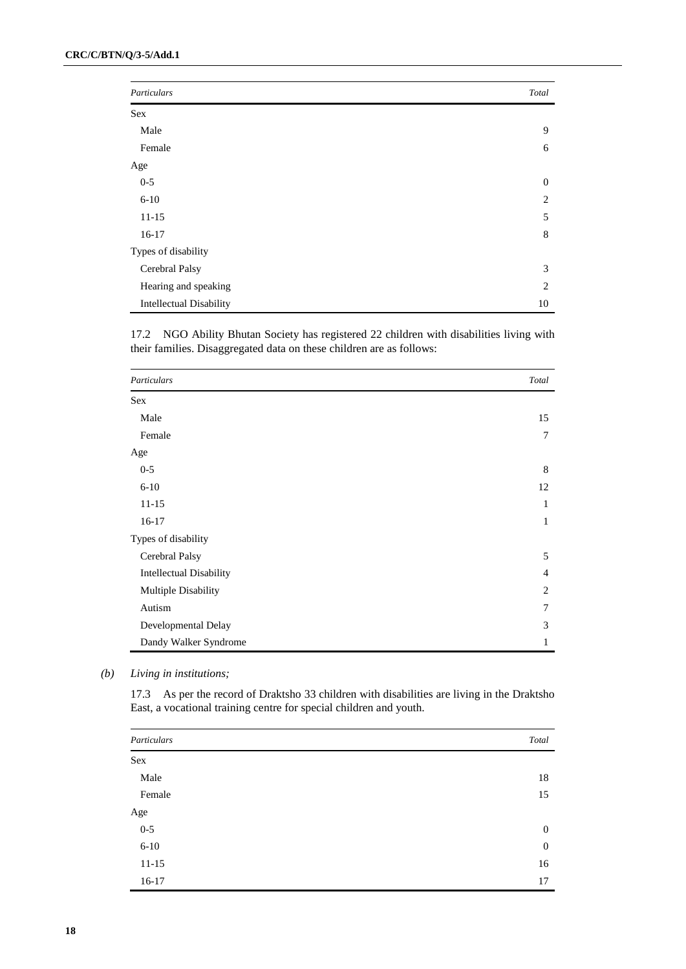| Particulars                    | Total          |
|--------------------------------|----------------|
| Sex                            |                |
| Male                           | 9              |
| Female                         | 6              |
| Age                            |                |
| $0 - 5$                        | $\mathbf{0}$   |
| $6 - 10$                       | 2              |
| $11 - 15$                      | 5              |
| $16-17$                        | 8              |
| Types of disability            |                |
| Cerebral Palsy                 | 3              |
| Hearing and speaking           | $\overline{c}$ |
| <b>Intellectual Disability</b> | 10             |

17.2 NGO Ability Bhutan Society has registered 22 children with disabilities living with their families. Disaggregated data on these children are as follows:

| Particulars                    | Total          |
|--------------------------------|----------------|
| <b>Sex</b>                     |                |
| Male                           | 15             |
| Female                         | 7              |
| Age                            |                |
| $0 - 5$                        | 8              |
| $6 - 10$                       | 12             |
| $11 - 15$                      | 1              |
| $16-17$                        | $\mathbf{1}$   |
| Types of disability            |                |
| Cerebral Palsy                 | 5              |
| <b>Intellectual Disability</b> | $\overline{4}$ |
| Multiple Disability            | 2              |
| Autism                         | $\overline{7}$ |
| Developmental Delay            | 3              |
| Dandy Walker Syndrome          | $\mathbf{1}$   |

*(b) Living in institutions;* 

17.3 As per the record of Draktsho 33 children with disabilities are living in the Draktsho East, a vocational training centre for special children and youth.

| Particulars | Total        |
|-------------|--------------|
| Sex         |              |
| Male        | 18           |
| Female      | 15           |
| Age         |              |
| $0 - 5$     | $\mathbf{0}$ |
| $6 - 10$    | $\mathbf{0}$ |
| $11 - 15$   | 16           |
| $16-17$     | 17           |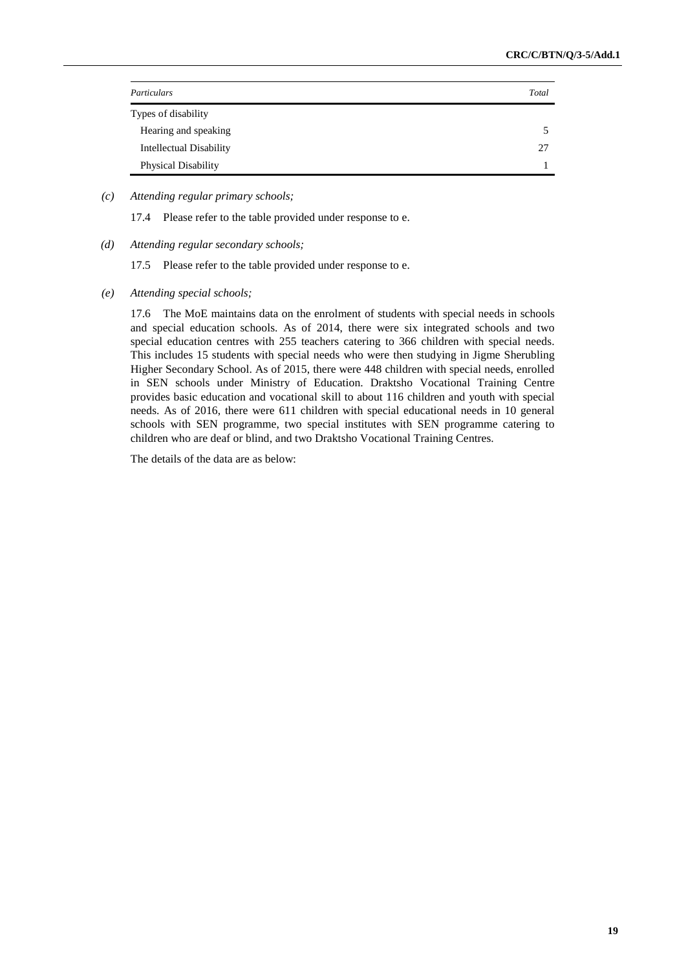| Particulars                    | Total |
|--------------------------------|-------|
| Types of disability            |       |
| Hearing and speaking           |       |
| <b>Intellectual Disability</b> | 27    |
| <b>Physical Disability</b>     |       |

#### *(c) Attending regular primary schools;*

17.4 Please refer to the table provided under response to e.

*(d) Attending regular secondary schools;* 

17.5 Please refer to the table provided under response to e.

*(e) Attending special schools;* 

17.6 The MoE maintains data on the enrolment of students with special needs in schools and special education schools. As of 2014, there were six integrated schools and two special education centres with 255 teachers catering to 366 children with special needs. This includes 15 students with special needs who were then studying in Jigme Sherubling Higher Secondary School. As of 2015, there were 448 children with special needs, enrolled in SEN schools under Ministry of Education. Draktsho Vocational Training Centre provides basic education and vocational skill to about 116 children and youth with special needs. As of 2016, there were 611 children with special educational needs in 10 general schools with SEN programme, two special institutes with SEN programme catering to children who are deaf or blind, and two Draktsho Vocational Training Centres.

The details of the data are as below: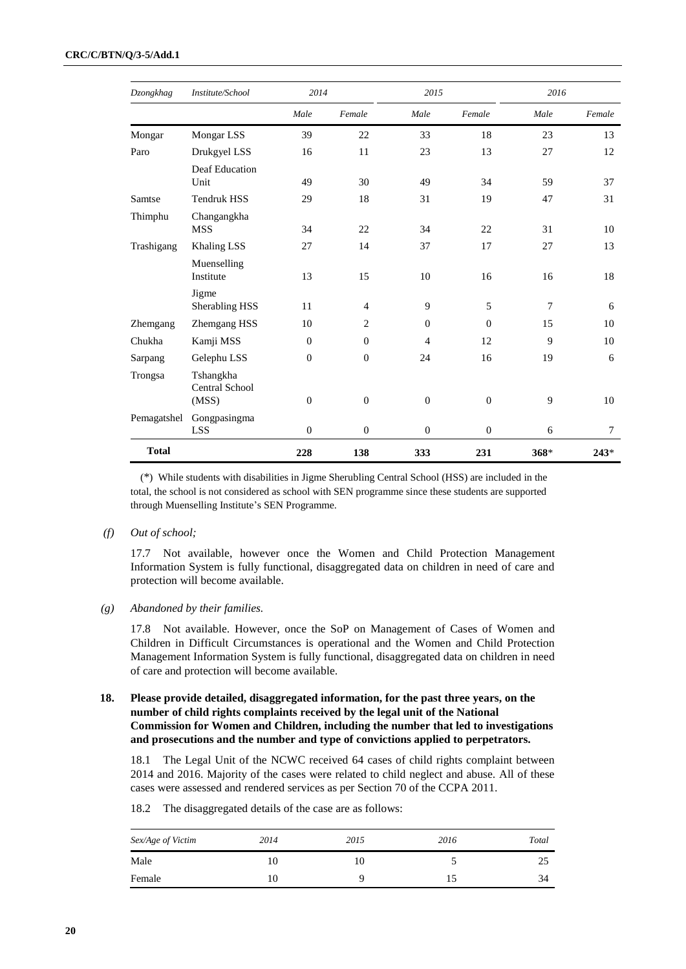| Dzongkhag    | Institute/School                            | 2014         |                | 2015           |                | 2016   |        |
|--------------|---------------------------------------------|--------------|----------------|----------------|----------------|--------|--------|
|              |                                             | Male         | Female         | Male           | Female         | Male   | Female |
| Mongar       | Mongar LSS                                  | 39           | 22             | 33             | 18             | 23     | 13     |
| Paro         | Drukgyel LSS                                | 16           | 11             | 23             | 13             | 27     | 12     |
|              | Deaf Education<br>Unit                      | 49           | 30             | 49             | 34             | 59     | 37     |
| Samtse       | <b>Tendruk HSS</b>                          | 29           | 18             | 31             | 19             | 47     | 31     |
| Thimphu      | Changangkha<br><b>MSS</b>                   | 34           | 22             | 34             | 22             | 31     | 10     |
| Trashigang   | Khaling LSS                                 | 27           | 14             | 37             | 17             | 27     | 13     |
|              | Muenselling<br>Institute                    | 13           | 15             | 10             | 16             | 16     | 18     |
|              | Jigme<br>Sherabling HSS                     | 11           | $\overline{4}$ | 9              | 5              | $\tau$ | 6      |
| Zhemgang     | Zhemgang HSS                                | 10           | $\overline{2}$ | $\overline{0}$ | $\overline{0}$ | 15     | 10     |
| Chukha       | Kamji MSS                                   | $\Omega$     | $\theta$       | $\overline{4}$ | 12             | 9      | 10     |
| Sarpang      | Gelephu LSS                                 | $\Omega$     | $\theta$       | 24             | 16             | 19     | 6      |
| Trongsa      | Tshangkha<br><b>Central School</b><br>(MSS) | $\Omega$     | $\theta$       | $\overline{0}$ | $\overline{0}$ | 9      | 10     |
| Pemagatshel  | Gongpasingma<br><b>LSS</b>                  | $\mathbf{0}$ | $\theta$       | $\overline{0}$ | $\overline{0}$ | 6      | 7      |
| <b>Total</b> |                                             | 228          | 138            | 333            | 231            | 368*   | $243*$ |

(\*) While students with disabilities in Jigme Sherubling Central School (HSS) are included in the total, the school is not considered as school with SEN programme since these students are supported through Muenselling Institute's SEN Programme.

*(f) Out of school;* 

17.7 Not available, however once the Women and Child Protection Management Information System is fully functional, disaggregated data on children in need of care and protection will become available.

*(g) Abandoned by their families.* 

17.8 Not available. However, once the SoP on Management of Cases of Women and Children in Difficult Circumstances is operational and the Women and Child Protection Management Information System is fully functional, disaggregated data on children in need of care and protection will become available.

#### **18. Please provide detailed, disaggregated information, for the past three years, on the number of child rights complaints received by the legal unit of the National Commission for Women and Children, including the number that led to investigations and prosecutions and the number and type of convictions applied to perpetrators.**

18.1 The Legal Unit of the NCWC received 64 cases of child rights complaint between 2014 and 2016. Majority of the cases were related to child neglect and abuse. All of these cases were assessed and rendered services as per Section 70 of the CCPA 2011.

| Sex/Age of Victim | 2014 | 2015 | 2016 | Total |
|-------------------|------|------|------|-------|
| Male              | I0   | 10   |      | 25    |
| Female            | 10   |      | כ ו  | 34    |

18.2 The disaggregated details of the case are as follows: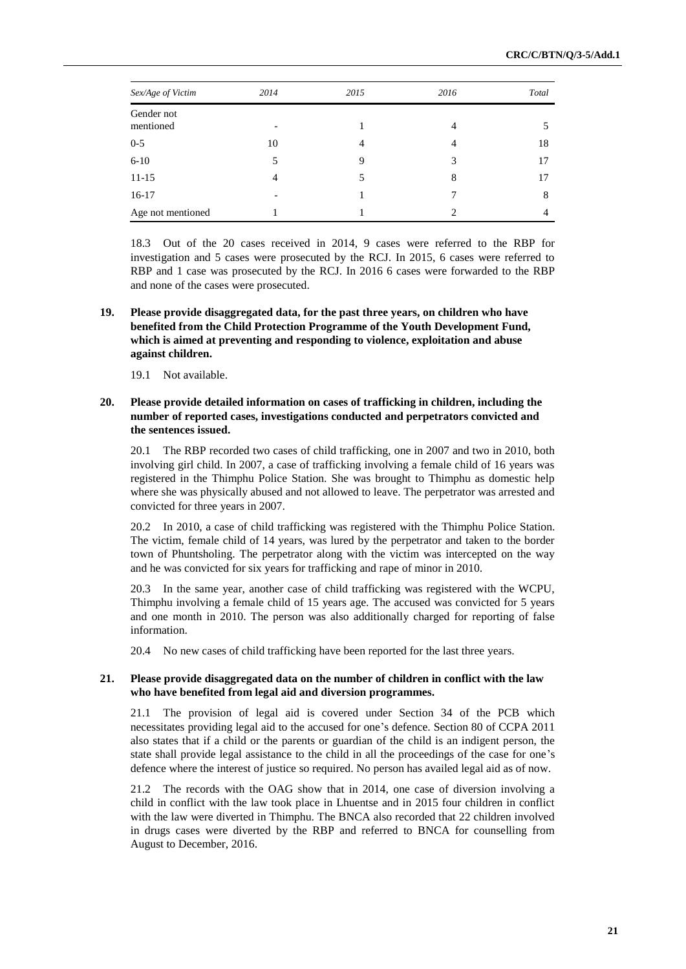| Sex/Age of Victim       | 2014 | 2015           | 2016 | Total |
|-------------------------|------|----------------|------|-------|
| Gender not<br>mentioned |      |                | 4    |       |
| $0 - 5$                 | 10   | $\overline{4}$ | 4    | 18    |
| $6 - 10$                | 5    | 9              | 3    | 17    |
| $11 - 15$               | 4    | 5              | 8    | 17    |
| $16-17$                 |      |                | 7    | 8     |
| Age not mentioned       |      |                | ↑    |       |

18.3 Out of the 20 cases received in 2014, 9 cases were referred to the RBP for investigation and 5 cases were prosecuted by the RCJ. In 2015, 6 cases were referred to RBP and 1 case was prosecuted by the RCJ. In 2016 6 cases were forwarded to the RBP and none of the cases were prosecuted.

#### **19. Please provide disaggregated data, for the past three years, on children who have benefited from the Child Protection Programme of the Youth Development Fund, which is aimed at preventing and responding to violence, exploitation and abuse against children.**

19.1 Not available.

#### **20. Please provide detailed information on cases of trafficking in children, including the number of reported cases, investigations conducted and perpetrators convicted and the sentences issued.**

20.1 The RBP recorded two cases of child trafficking, one in 2007 and two in 2010, both involving girl child. In 2007, a case of trafficking involving a female child of 16 years was registered in the Thimphu Police Station. She was brought to Thimphu as domestic help where she was physically abused and not allowed to leave. The perpetrator was arrested and convicted for three years in 2007.

20.2 In 2010, a case of child trafficking was registered with the Thimphu Police Station. The victim, female child of 14 years, was lured by the perpetrator and taken to the border town of Phuntsholing. The perpetrator along with the victim was intercepted on the way and he was convicted for six years for trafficking and rape of minor in 2010.

20.3 In the same year, another case of child trafficking was registered with the WCPU, Thimphu involving a female child of 15 years age. The accused was convicted for 5 years and one month in 2010. The person was also additionally charged for reporting of false information.

20.4 No new cases of child trafficking have been reported for the last three years.

#### **21. Please provide disaggregated data on the number of children in conflict with the law who have benefited from legal aid and diversion programmes.**

21.1 The provision of legal aid is covered under Section 34 of the PCB which necessitates providing legal aid to the accused for one's defence. Section 80 of CCPA 2011 also states that if a child or the parents or guardian of the child is an indigent person, the state shall provide legal assistance to the child in all the proceedings of the case for one's defence where the interest of justice so required. No person has availed legal aid as of now.

21.2 The records with the OAG show that in 2014, one case of diversion involving a child in conflict with the law took place in Lhuentse and in 2015 four children in conflict with the law were diverted in Thimphu. The BNCA also recorded that 22 children involved in drugs cases were diverted by the RBP and referred to BNCA for counselling from August to December, 2016.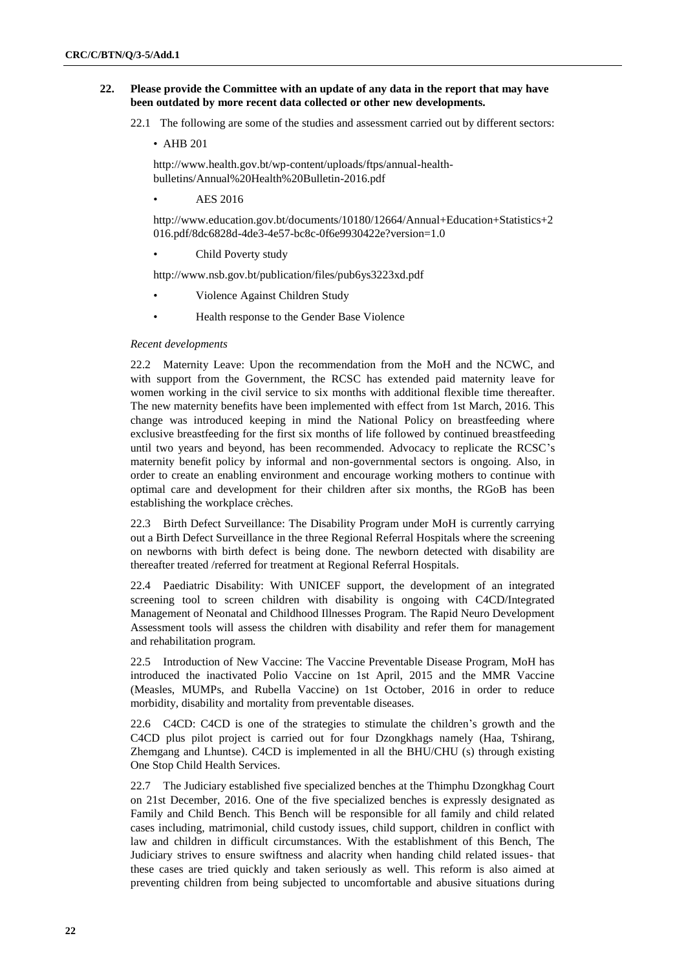#### **22. Please provide the Committee with an update of any data in the report that may have been outdated by more recent data collected or other new developments.**

22.1 The following are some of the studies and assessment carried out by different sectors:

• AHB 201

http://www.health.gov.bt/wp-content/uploads/ftps/annual-healthbulletins/Annual%20Health%20Bulletin-2016.pdf

• AES 2016

http://www.education.gov.bt/documents/10180/12664/Annual+Education+Statistics+2 016.pdf/8dc6828d-4de3-4e57-bc8c-0f6e9930422e?version=1.0

Child Poverty study

http://www.nsb.gov.bt/publication/files/pub6ys3223xd.pdf

- Violence Against Children Study
- Health response to the Gender Base Violence

#### *Recent developments*

22.2 Maternity Leave: Upon the recommendation from the MoH and the NCWC, and with support from the Government, the RCSC has extended paid maternity leave for women working in the civil service to six months with additional flexible time thereafter. The new maternity benefits have been implemented with effect from 1st March, 2016. This change was introduced keeping in mind the National Policy on breastfeeding where exclusive breastfeeding for the first six months of life followed by continued breastfeeding until two years and beyond, has been recommended. Advocacy to replicate the RCSC's maternity benefit policy by informal and non-governmental sectors is ongoing. Also, in order to create an enabling environment and encourage working mothers to continue with optimal care and development for their children after six months, the RGoB has been establishing the workplace crèches.

22.3 Birth Defect Surveillance: The Disability Program under MoH is currently carrying out a Birth Defect Surveillance in the three Regional Referral Hospitals where the screening on newborns with birth defect is being done. The newborn detected with disability are thereafter treated /referred for treatment at Regional Referral Hospitals.

22.4 Paediatric Disability: With UNICEF support, the development of an integrated screening tool to screen children with disability is ongoing with C4CD/Integrated Management of Neonatal and Childhood Illnesses Program. The Rapid Neuro Development Assessment tools will assess the children with disability and refer them for management and rehabilitation program.

22.5 Introduction of New Vaccine: The Vaccine Preventable Disease Program, MoH has introduced the inactivated Polio Vaccine on 1st April, 2015 and the MMR Vaccine (Measles, MUMPs, and Rubella Vaccine) on 1st October, 2016 in order to reduce morbidity, disability and mortality from preventable diseases.

22.6 C4CD: C4CD is one of the strategies to stimulate the children's growth and the C4CD plus pilot project is carried out for four Dzongkhags namely (Haa, Tshirang, Zhemgang and Lhuntse). C4CD is implemented in all the BHU/CHU (s) through existing One Stop Child Health Services.

22.7 The Judiciary established five specialized benches at the Thimphu Dzongkhag Court on 21st December, 2016. One of the five specialized benches is expressly designated as Family and Child Bench. This Bench will be responsible for all family and child related cases including, matrimonial, child custody issues, child support, children in conflict with law and children in difficult circumstances. With the establishment of this Bench, The Judiciary strives to ensure swiftness and alacrity when handing child related issues- that these cases are tried quickly and taken seriously as well. This reform is also aimed at preventing children from being subjected to uncomfortable and abusive situations during